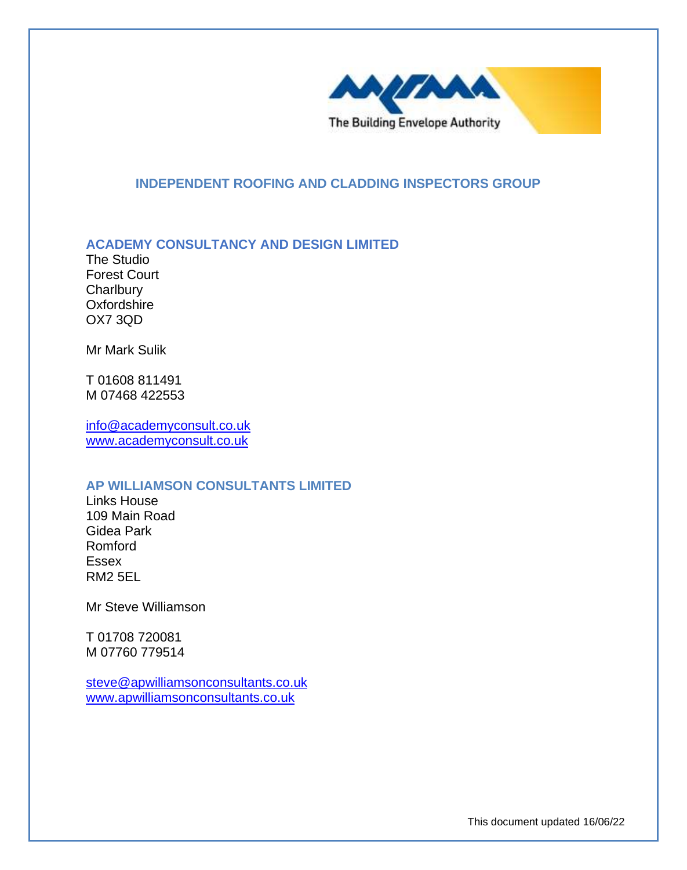

## **INDEPENDENT ROOFING AND CLADDING INSPECTORS GROUP**

## **ACADEMY CONSULTANCY AND DESIGN LIMITED**

The Studio Forest Court **Charlbury Oxfordshire** OX7 3QD

Mr Mark Sulik

T 01608 811491 M 07468 422553

[info@academyconsult.co.uk](mailto:info@academyconsult.co.uk) [www.academyconsult.co.uk](http://www.academyconsult.co.uk/)

#### **AP WILLIAMSON CONSULTANTS LIMITED**

Links House 109 Main Road Gidea Park Romford Essex RM2 5EL

Mr Steve Williamson

T 01708 720081 M 07760 779514

[steve@apwilliamsonconsultants.co.uk](mailto:steve@apwilliamsonconsultants.co.uk) [www.apwilliamsonconsultants.co.uk](http://www.apwilliamsonconsultants.co.uk/)

This document updated 16/06/22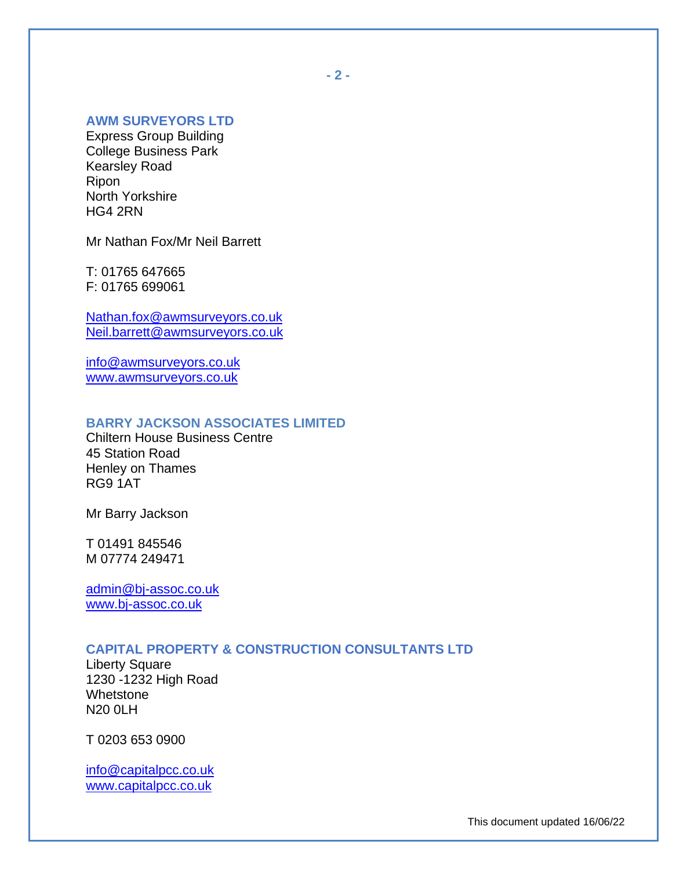# **AWM SURVEYORS LTD**

Express Group Building College Business Park Kearsley Road Ripon North Yorkshire HG4 2RN

Mr Nathan Fox/Mr Neil Barrett

T: 01765 647665 F: 01765 699061

[Nathan.fox@awmsurveyors.co.uk](mailto:Nathan.fox@awmsurveyors.co.uk) [Neil.barrett@awmsurveyors.co.uk](mailto:Neil.barrett@awmsurveyors.co.uk)

[info@awmsurveyors.co.uk](mailto:info@awmsurveyors.co.uk) [www.awmsurveyors.co.uk](http://www.awmsurveyors.co.uk/)

# **BARRY JACKSON ASSOCIATES LIMITED**

Chiltern House Business Centre 45 Station Road Henley on Thames RG9 1AT

Mr Barry Jackson

T 01491 845546 M 07774 249471

[admin@bj-assoc.co.uk](mailto:admin@bj-assoc.co.uk) [www.bj-assoc.co.uk](http://www.bj-assoc.co.uk/)

### **CAPITAL PROPERTY & CONSTRUCTION CONSULTANTS LTD**

Liberty Square 1230 -1232 High Road Whetstone N20 0LH

T 0203 653 0900

[info@capitalpcc.co.uk](mailto:info@capitalpcc.co.uk) [www.capitalpcc.co.uk](http://www.capitalpcc.co.uk/)

**- 2 -**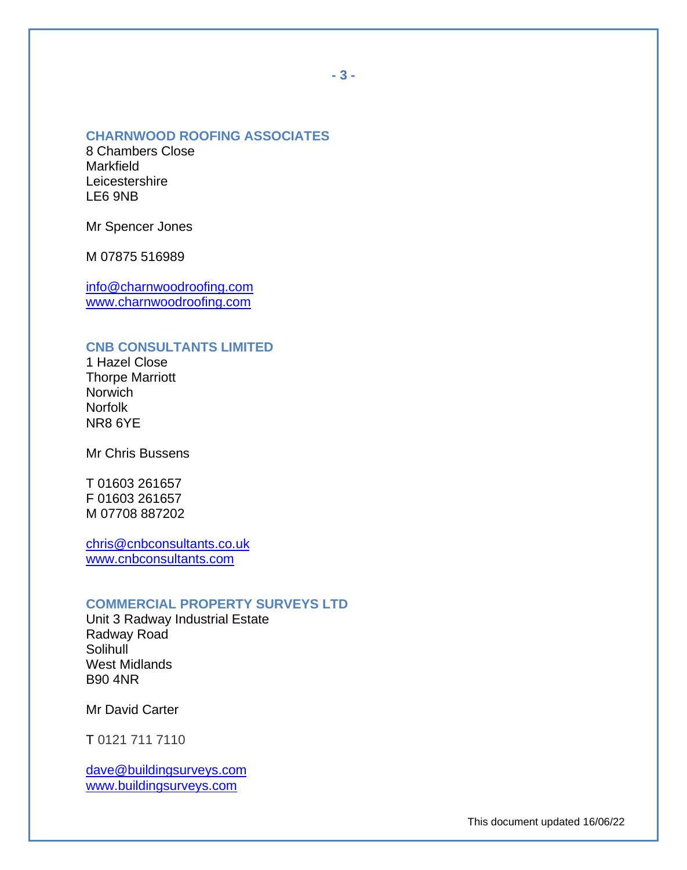#### **CHARNWOOD ROOFING ASSOCIATES**

8 Chambers Close Markfield **Leicestershire** LE6 9NB

Mr Spencer Jones

M 07875 516989

[info@charnwoodroofing.com](mailto:info@charnwoodroofing.com) [www.charnwoodroofing.com](http://www.charnwoodroofing.com/)

## **CNB CONSULTANTS LIMITED**

1 Hazel Close Thorpe Marriott **Norwich** Norfolk NR8 6YE

Mr Chris Bussens

T 01603 261657 F 01603 261657 M 07708 887202

[chris@cnbconsultants.co.uk](mailto:chris@cnbconsultants.co.uk) [www.cnbconsultants.com](http://www.cnbconsultants.com/)

#### **COMMERCIAL PROPERTY SURVEYS LTD**

Unit 3 Radway Industrial Estate Radway Road Solihull West Midlands B90 4NR

Mr David Carter

T 0121 711 7110

[dave@buildingsurveys.com](mailto:dave@buildingsurveys.com) [www.buildingsurveys.com](http://www.buildingsurveys.com/)

This document updated 16/06/22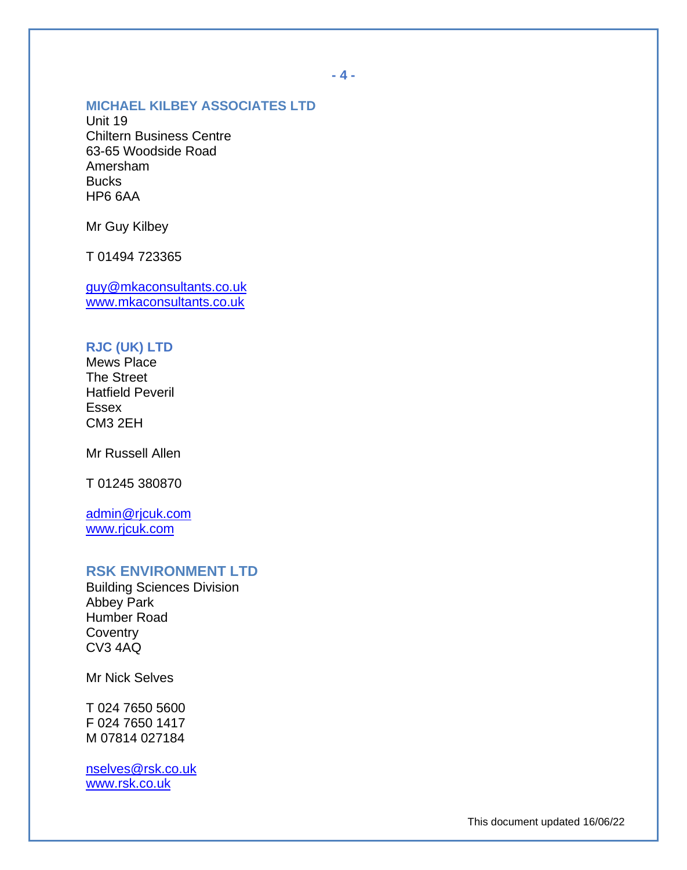## **MICHAEL KILBEY ASSOCIATES LTD**

Unit 19 Chiltern Business Centre 63-65 Woodside Road Amersham **Bucks** HP6 6AA

Mr Guy Kilbey

T 01494 723365

[guy@mkaconsultants.co.uk](mailto:guy@mkaconsultants.co.uk) [www.mkaconsultants.co.uk](http://www.mkaconsultants.co.uk/)

# **RJC (UK) LTD**

Mews Place The Street Hatfield Peveril Essex CM3 2EH

Mr Russell Allen

T 01245 380870

[admin@rjcuk.com](mailto:admin@rjcuk.com) [www.rjcuk.com](http://www.rjcuk.com/)

# **RSK ENVIRONMENT LTD**

Building Sciences Division Abbey Park Humber Road **Coventry** CV3 4AQ

Mr Nick Selves

T 024 7650 5600 F 024 7650 1417 M 07814 027184

[nselves@rsk.co.uk](mailto:nselves@rsk.co.uk) [www.rsk.co.uk](http://www.rsk.co.uk/)